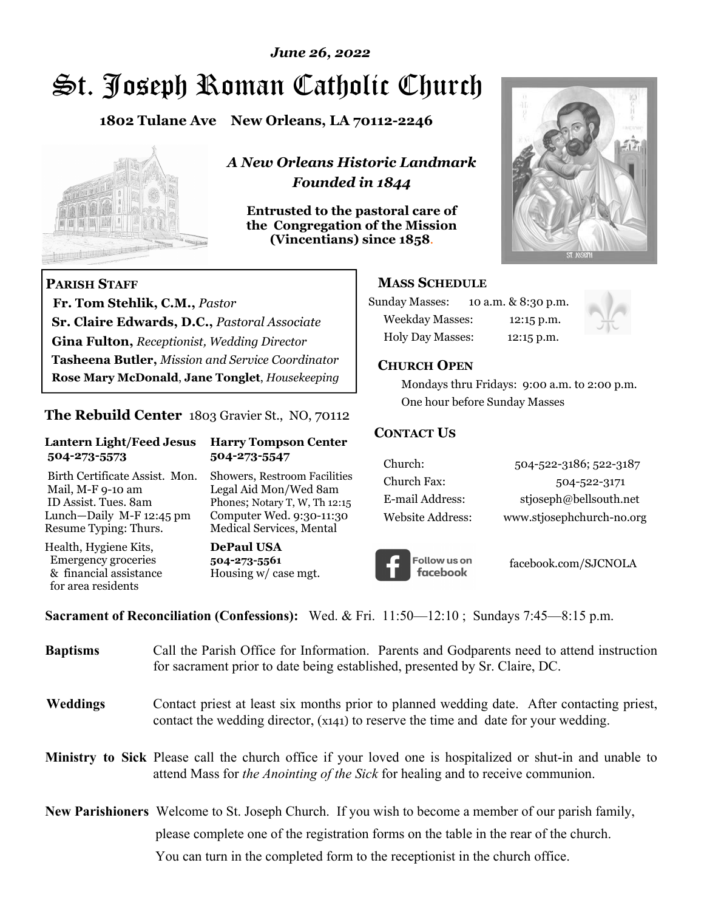# *June 26, 2022*

# St. Joseph Roman Catholic Church

**1802 Tulane Ave New Orleans, LA 70112-2246**



 **Fr. Tom Stehlik, C.M.,** *Pastor* 

**Sr. Claire Edwards, D.C.,** *Pastoral Associate* **Gina Fulton,** *Receptionist, Wedding Director* 

**Tasheena Butler,** *Mission and Service Coordinator* **Rose Mary McDonald**, **Jane Tonglet**, *Housekeeping*

**The Rebuild Center** 1803 Gravier St., NO, 70112

**Lantern Light/Feed Jesus Harry Tompson Center** 

Birth Certificate Assist. Mon. Showers, Restroom Facilities Mail, M-F 9-10 am Legal Aid Mon/Wed 8am ID Assist. Tues. 8am Phones; Notary T, W, Th 12:15 Lunch—Daily M-F 12:45 pm Computer Wed. 9:30-11:30 Resume Typing: Thurs. Medical Services, Mental

 **504-273-5573 504-273-5547** 

Health, Hygiene Kits, **DePaul USA**  Emergency groceries **504-273-5561** & financial assistance Housing w/ case mgt.

**PARISH STAFF**

for area residents

*A New Orleans Historic Landmark Founded in 1844* 

**Entrusted to the pastoral care of the Congregation of the Mission (Vincentians) since 1858**.



## **MASS SCHEDULE**

| <b>Sunday Masses:</b>  | 10 a.m. & 8:30 p.m. |
|------------------------|---------------------|
| <b>Weekday Masses:</b> | $12:15$ p.m.        |
| Holy Day Masses:       | 12:15 p.m.          |



## **CHURCH OPEN**

 Mondays thru Fridays: 9:00 a.m. to 2:00 p.m. One hour before Sunday Masses

## **CONTACT US**

| Church:          | 504-522-3186; 522-3187    |
|------------------|---------------------------|
| Church Fax:      | 504-522-3171              |
| E-mail Address:  | stjoseph@bellsouth.net    |
| Website Address: | www.stjosephchurch-no.org |



facebook.com/SJCNOLA

**Sacrament of Reconciliation (Confessions):** Wed. & Fri. 11:50—12:10 ; Sundays 7:45—8:15 p.m.

| <b>Baptisms</b> | Call the Parish Office for Information. Parents and Godparents need to attend instruction<br>for sacrament prior to date being established, presented by Sr. Claire, DC.                                   |
|-----------------|------------------------------------------------------------------------------------------------------------------------------------------------------------------------------------------------------------|
| <b>Weddings</b> | Contact priest at least six months prior to planned wedding date. After contacting priest,<br>contact the wedding director, (x141) to reserve the time and date for your wedding.                          |
|                 | <b>Ministry to Sick</b> Please call the church office if your loved one is hospitalized or shut-in and unable to<br>attend Mass for <i>the Anointing of the Sick</i> for healing and to receive communion. |
|                 | <b>New Parishioners</b> Welcome to St. Joseph Church. If you wish to become a member of our parish family,                                                                                                 |
|                 | please complete one of the registration forms on the table in the rear of the church.                                                                                                                      |
|                 | You can turn in the completed form to the reception ist in the church office.                                                                                                                              |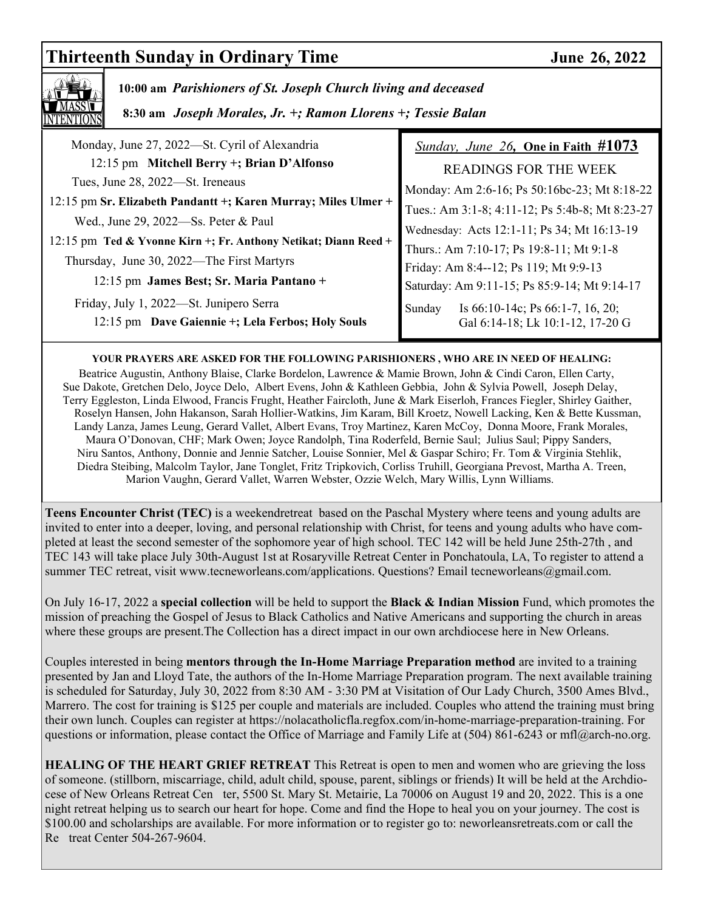# **Thirteenth Sunday in Ordinary Time 36, 2022**



 **10:00 am** *Parishioners of St. Joseph Church living and deceased*

 **8:30 am** *Joseph Morales, Jr. +; Ramon Llorens +; Tessie Balan* 

| Monday, June 27, 2022—St. Cyril of Alexandria                                                          | Sunday, June 26, One in Faith $\#1073$                                            |
|--------------------------------------------------------------------------------------------------------|-----------------------------------------------------------------------------------|
| 12:15 pm Mitchell Berry +; Brian D'Alfonso                                                             | READINGS FOR THE WEEK                                                             |
| Tues, June 28, 2022-St. Ireneaus                                                                       | Monday: Am 2:6-16; Ps 50:16bc-23; Mt 8:18-22                                      |
| 12:15 pm Sr. Elizabeth Pandantt +; Karen Murray; Miles Ulmer +<br>Wed., June 29, 2022-Ss. Peter & Paul | Tues.: Am 3:1-8; 4:11-12; Ps 5:4b-8; Mt 8:23-27                                   |
| 12:15 pm Ted & Yvonne Kirn +; Fr. Anthony Netikat; Diann Reed +                                        | Wednesday: Acts 12:1-11; Ps 34; Mt 16:13-19                                       |
| Thursday, June 30, 2022—The First Martyrs                                                              | Thurs.: Am 7:10-17; Ps 19:8-11; Mt 9:1-8<br>Friday: Am 8:4--12; Ps 119; Mt 9:9-13 |
| 12:15 pm James Best; Sr. Maria Pantano +                                                               | Saturday: Am 9:11-15; Ps 85:9-14; Mt 9:14-17                                      |
| Friday, July 1, 2022—St. Junipero Serra                                                                | Is $66:10-14c$ ; Ps $66:1-7$ , 16, 20;<br>Sunday                                  |
| 12:15 pm Dave Gaiennie +; Lela Ferbos; Holy Souls                                                      | Gal 6:14-18; Lk 10:1-12, 17-20 G                                                  |

## **YOUR PRAYERS ARE ASKED FOR THE FOLLOWING PARISHIONERS , WHO ARE IN NEED OF HEALING:**

 Beatrice Augustin, Anthony Blaise, Clarke Bordelon, Lawrence & Mamie Brown, John & Cindi Caron, Ellen Carty, Sue Dakote, Gretchen Delo, Joyce Delo, Albert Evens, John & Kathleen Gebbia, John & Sylvia Powell, Joseph Delay, Terry Eggleston, Linda Elwood, Francis Frught, Heather Faircloth, June & Mark Eiserloh, Frances Fiegler, Shirley Gaither, Roselyn Hansen, John Hakanson, Sarah Hollier-Watkins, Jim Karam, Bill Kroetz, Nowell Lacking, Ken & Bette Kussman, Landy Lanza, James Leung, Gerard Vallet, Albert Evans, Troy Martinez, Karen McCoy, Donna Moore, Frank Morales, Maura O'Donovan, CHF; Mark Owen; Joyce Randolph, Tina Roderfeld, Bernie Saul; Julius Saul; Pippy Sanders, Niru Santos, Anthony, Donnie and Jennie Satcher, Louise Sonnier, Mel & Gaspar Schiro; Fr. Tom & Virginia Stehlik, Diedra Steibing, Malcolm Taylor, Jane Tonglet, Fritz Tripkovich, Corliss Truhill, Georgiana Prevost, Martha A. Treen, Marion Vaughn, Gerard Vallet, Warren Webster, Ozzie Welch, Mary Willis, Lynn Williams.

**Teens Encounter Christ (TEC)** is a weekendretreat based on the Paschal Mystery where teens and young adults are invited to enter into a deeper, loving, and personal relationship with Christ, for teens and young adults who have completed at least the second semester of the sophomore year of high school. TEC 142 will be held June 25th-27th , and TEC 143 will take place July 30th-August 1st at Rosaryville Retreat Center in Ponchatoula, LA, To register to attend a summer TEC retreat, visit www.tecneworleans.com/applications. Questions? Email tecneworleans@gmail.com.

On July 16-17, 2022 a **special collection** will be held to support the **Black & Indian Mission** Fund, which promotes the mission of preaching the Gospel of Jesus to Black Catholics and Native Americans and supporting the church in areas where these groups are present.The Collection has a direct impact in our own archdiocese here in New Orleans.

Couples interested in being **mentors through the In-Home Marriage Preparation method** are invited to a training presented by Jan and Lloyd Tate, the authors of the In-Home Marriage Preparation program. The next available training is scheduled for Saturday, July 30, 2022 from 8:30 AM - 3:30 PM at Visitation of Our Lady Church, 3500 Ames Blvd., Marrero. The cost for training is \$125 per couple and materials are included. Couples who attend the training must bring their own lunch. Couples can register at https://nolacatholicfla.regfox.com/in-home-marriage-preparation-training. For questions or information, please contact the Office of Marriage and Family Life at (504) 861-6243 or mfl@arch-no.org.

**HEALING OF THE HEART GRIEF RETREAT** This Retreat is open to men and women who are grieving the loss of someone. (stillborn, miscarriage, child, adult child, spouse, parent, siblings or friends) It will be held at the Archdiocese of New Orleans Retreat Cen ter, 5500 St. Mary St. Metairie, La 70006 on August 19 and 20, 2022. This is a one night retreat helping us to search our heart for hope. Come and find the Hope to heal you on your journey. The cost is \$100.00 and scholarships are available. For more information or to register go to: neworleansretreats.com or call the Re treat Center 504-267-9604.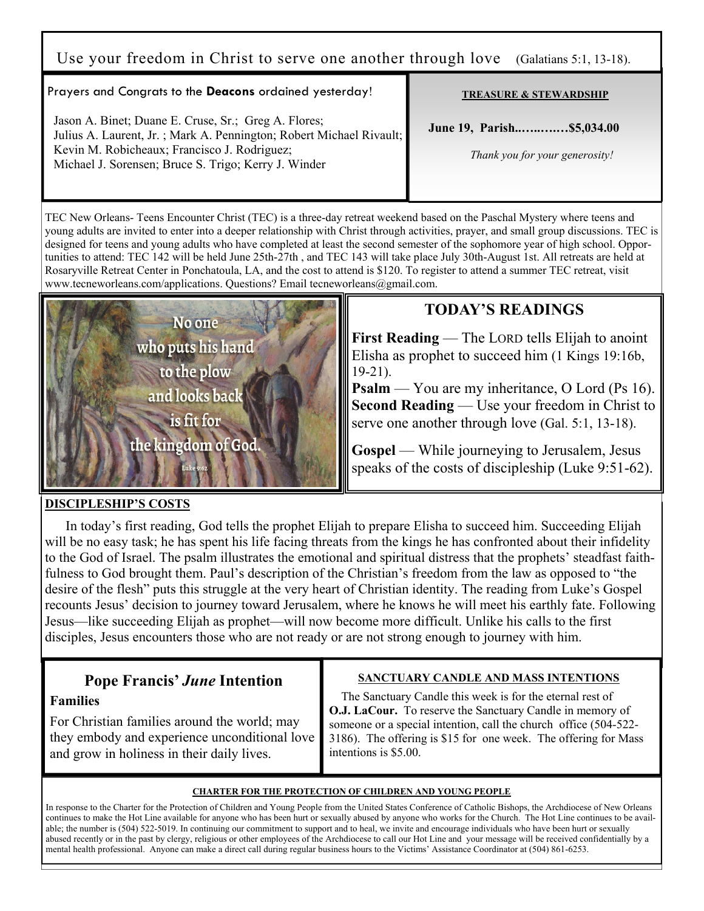# Use your freedom in Christ to serve one another through love (Galatians 5:1, 13-18).

## Prayers and Congrats to the **Deacons** ordained yesterday!

 Jason A. Binet; Duane E. Cruse, Sr.; Greg A. Flores; Julius A. Laurent, Jr. ; Mark A. Pennington; Robert Michael Rivault; Kevin M. Robicheaux; Francisco J. Rodriguez; Michael J. Sorensen; Bruce S. Trigo; Kerry J. Winder

#### **TREASURE & STEWARDSHIP**

 **June 19, Parish..…..….…\$5,034.00** 

 *Thank you for your generosity!* 

TEC New Orleans- Teens Encounter Christ (TEC) is a three-day retreat weekend based on the Paschal Mystery where teens and young adults are invited to enter into a deeper relationship with Christ through activities, prayer, and small group discussions. TEC is designed for teens and young adults who have completed at least the second semester of the sophomore year of high school. Opportunities to attend: TEC 142 will be held June 25th-27th , and TEC 143 will take place July 30th-August 1st. All retreats are held at Rosaryville Retreat Center in Ponchatoula, LA, and the cost to attend is \$120. To register to attend a summer TEC retreat, visit www.tecneworleans.com/applications. Questions? Email tecneworleans@gmail.com.



# **TODAY'S READINGS**

**First Reading** — The LORD tells Elijah to anoint Elisha as prophet to succeed him (1 Kings 19:16b, 19-21).

**Psalm** — You are my inheritance, O Lord (Ps 16). **Second Reading** — Use your freedom in Christ to serve one another through love (Gal. 5:1, 13-18).

**Gospel** — While journeying to Jerusalem, Jesus speaks of the costs of discipleship (Luke 9:51-62).

#### **DISCIPLESHIP'S COSTS**

In today's first reading, God tells the prophet Elijah to prepare Elisha to succeed him. Succeeding Elijah will be no easy task; he has spent his life facing threats from the kings he has confronted about their infidelity to the God of Israel. The psalm illustrates the emotional and spiritual distress that the prophets' steadfast faithfulness to God brought them. Paul's description of the Christian's freedom from the law as opposed to "the desire of the flesh" puts this struggle at the very heart of Christian identity. The reading from Luke's Gospel recounts Jesus' decision to journey toward Jerusalem, where he knows he will meet his earthly fate. Following Jesus—like succeeding Elijah as prophet—will now become more difficult. Unlike his calls to the first disciples, Jesus encounters those who are not ready or are not strong enough to journey with him.

# **Pope Francis'** *June* **Intention**

## **Families**

For Christian families around the world; may they embody and experience unconditional love and grow in holiness in their daily lives.

## **SANCTUARY CANDLE AND MASS INTENTIONS**

 The Sanctuary Candle this week is for the eternal rest of **O.J. LaCour.** To reserve the Sanctuary Candle in memory of someone or a special intention, call the church office (504-522- 3186). The offering is \$15 for one week. The offering for Mass intentions is \$5.00.

#### **CHARTER FOR THE PROTECTION OF CHILDREN AND YOUNG PEOPLE**

In response to the Charter for the Protection of Children and Young People from the United States Conference of Catholic Bishops, the Archdiocese of New Orleans continues to make the Hot Line available for anyone who has been hurt or sexually abused by anyone who works for the Church. The Hot Line continues to be available; the number is (504) 522-5019. In continuing our commitment to support and to heal, we invite and encourage individuals who have been hurt or sexually abused recently or in the past by clergy, religious or other employees of the Archdiocese to call our Hot Line and your message will be received confidentially by a mental health professional. Anyone can make a direct call during regular business hours to the Victims' Assistance Coordinator at (504) 861-6253.